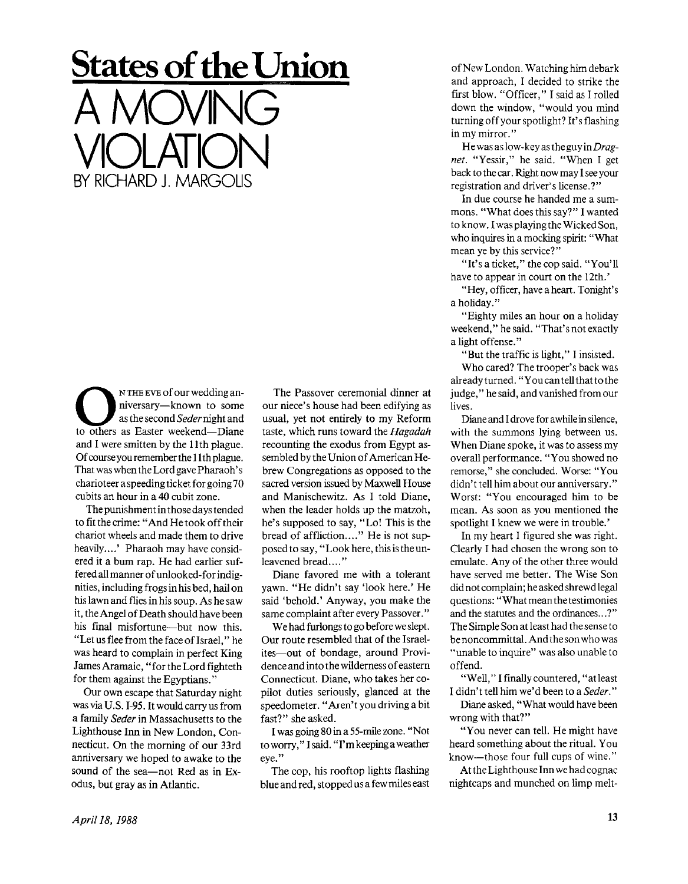## **States of the Union**

A MOVING

VIOLATION

BY RICHARD J. MARGOLIS

NTHE EVE of our wedding an-<br>niversary—known to some<br>as the second *Seder* night and<br>to others as Easter weekend—Diane N THE EVE of our wedding anniversary—known to some asthesecond *Seder* night and and I were smitten by the 11th plague. Of course you remember the 11 th plague. That was when the Lord gave Pharaoh's charioteer a speeding ticket for going 70 cubits an hour in a 40 cubit zone.

The punishment in those days tended to fit the crime: "And He took off their chariot wheels and made them to drive heavily....' Pharaoh may have considered it a bum rap. He had earlier suffered all manner of unlooked-for indignities, including frogs in his bed, hail on his lawn and flies in his soup. As he saw it, the Angel of Death should have been his final misfortune—but now this. "Let us flee from the face of Israel," he was heard to complain in perfect King James Aramaic, "for the Lord fighteth for them against the Egyptians."

Our own escape that Saturday night was via U.S. 1-95. It would carry us from a family *Seder* in Massachusetts to the Lighthouse Inn in New London, Connecticut. On the morning of our 33rd anniversary we hoped to awake to the sound of the sea—not Red as in Exodus, but gray as in Atlantic.

The Passover ceremonial dinner at our niece's house had been edifying as usual, yet not entirely to my Reform taste, which runs toward the *Hagadah*  recounting the exodus from Egypt assembled by the Union of American Hebrew Congregations as opposed to the sacred version issued by Maxwell House and Manischewitz. As I told Diane, when the leader holds up the matzoh, he's supposed to say, "Lo! This is the bread of affliction...." He is not supposed to say, "Look here, this is the unleavened bread...."

Diane favored me with a tolerant yawn. "He didn't say 'look here.' He said 'behold.' Anyway, you make the same complaint after every Passover."

We had furlongs to go before we slept. Our route resembled that of the Israelites—out of bondage, around Providence and into the wilderness of eastern Connecticut. Diane, who takes her copilot duties seriously, glanced at the speedometer. "Aren't you driving a bit fast?" she asked.

I was going 80 in a 55-mile zone. "Not toworry," Isaid. "I'm keeping a weather eye."

The cop, his rooftop lights flashing blue and red, stopped us a few miles east of New London. Watching him debark and approach, I decided to strike the first blow. "Officer," I said as I rolled down the window, "would you mind turning off your spotlight? It's flashing in my mirror."

He was as low-key as the guy in *Dragnet.* "Yessir," he said. "When I get back to the car. Right now may I see your registration and driver's license.?"

In due course he handed me a summons. "What does this say?" I wanted to know. I wasplaying the Wicked Son, who inquires in a mocking spirit: "What mean ye by this service?"

"It's a ticket," the cop said. "You'll have to appear in court on the 12th.'

"Hey, officer, have a heart. Tonight's a holiday."

"Eighty miles an hour on a holiday weekend," he said. "That's not exactly alight offense."

"But the traffic is light," I insisted.

Who cared? The trooper's back was already turned. "You can tell that to the judge," he said, and vanished from our lives.

Diane and I drove for awhile in silence, with the summons lying between us. When Diane spoke, it was to assess my overall performance. "You showed no remorse," she concluded. Worse: "You didn't tell him about our anniversary." Worst: "You encouraged him to be mean. As soon as you mentioned the spotlight I knew we were in trouble.'

In my heart I figured she was right. Clearly I had chosen the wrong son to emulate. Any of the other three would have served me better. The Wise Son did not complain; he asked shrewd legal questions: "What mean the testimonies and the statutes and the ordinances...?" The Simple Son at least had the sense to be noncommittal. And thesonwho was "unable to inquire" was also unable to offend.

"Well," I finally countered, "atleast I didn't tell him we'd been to a *Seder."* 

Diane asked, "What would have been wrong with that?"

"You never can tell. He might have heard something about the ritual. You know—those four full cups of wine."

At the Lighthouse Inn we had cognac nightcaps and munched on limp melt